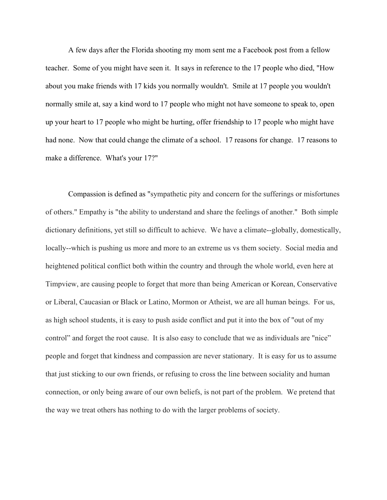A few days after the Florida shooting my mom sent me a Facebook post from a fellow teacher. Some of you might have seen it. It says in reference to the 17 people who died, "How about you make friends with 17 kids you normally wouldn't. Smile at 17 people you wouldn't normally smile at, say a kind word to 17 people who might not have someone to speak to, open up your heart to 17 people who might be hurting, offer friendship to 17 people who might have had none. Now that could change the climate of a school. 17 reasons for change. 17 reasons to make a difference. What's your 17?"

Compassion is defined as "sympathetic pity and concern for the sufferings or misfortunes of others." Empathy is "the ability to understand and share the feelings of another." Both simple dictionary definitions, yet still so difficult to achieve. We have a climate--globally, domestically, locally--which is pushing us more and more to an extreme us vs them society. Social media and heightened political conflict both within the country and through the whole world, even here at Timpview, are causing people to forget that more than being American or Korean, Conservative or Liberal, Caucasian or Black or Latino, Mormon or Atheist, we are all human beings. For us, as high school students, it is easy to push aside conflict and put it into the box of "out of my control" and forget the root cause. It is also easy to conclude that we as individuals are "nice" people and forget that kindness and compassion are never stationary. It is easy for us to assume that just sticking to our own friends, or refusing to cross the line between sociality and human connection, or only being aware of our own beliefs, is not part of the problem. We pretend that the way we treat others has nothing to do with the larger problems of society.